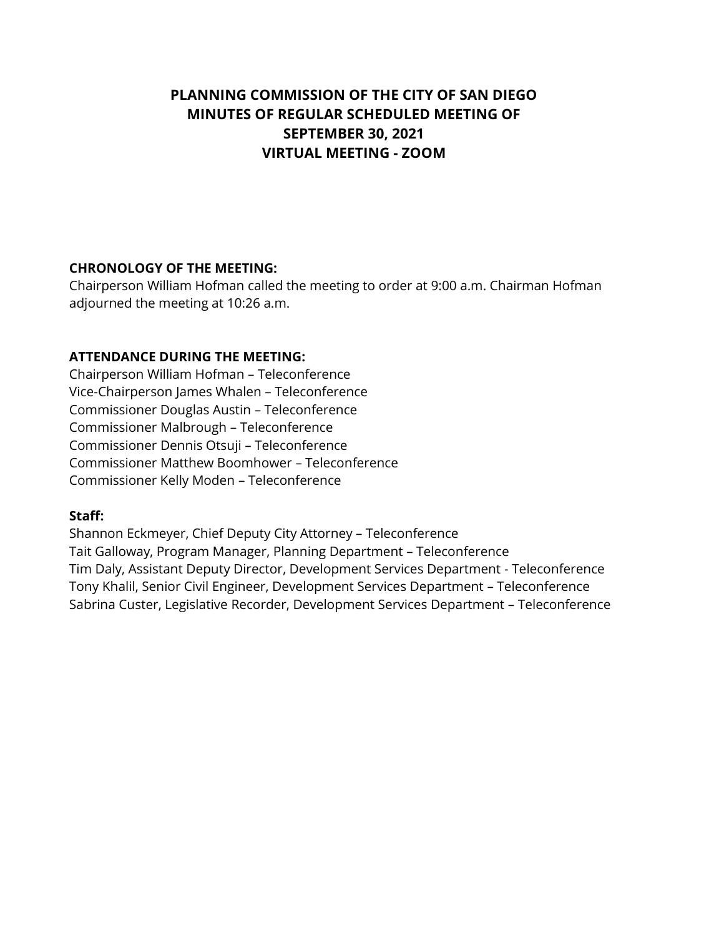# **PLANNING COMMISSION OF THE CITY OF SAN DIEGO MINUTES OF REGULAR SCHEDULED MEETING OF SEPTEMBER 30, 2021 VIRTUAL MEETING - ZOOM**

#### **CHRONOLOGY OF THE MEETING:**

Chairperson William Hofman called the meeting to order at 9:00 a.m. Chairman Hofman adjourned the meeting at 10:26 a.m.

### **ATTENDANCE DURING THE MEETING:**

Chairperson William Hofman – Teleconference Vice-Chairperson James Whalen – Teleconference Commissioner Douglas Austin – Teleconference Commissioner Malbrough – Teleconference Commissioner Dennis Otsuji – Teleconference Commissioner Matthew Boomhower – Teleconference Commissioner Kelly Moden – Teleconference

#### **Staff:**

Shannon Eckmeyer, Chief Deputy City Attorney – Teleconference Tait Galloway, Program Manager, Planning Department – Teleconference Tim Daly, Assistant Deputy Director, Development Services Department - Teleconference Tony Khalil, Senior Civil Engineer, Development Services Department – Teleconference Sabrina Custer, Legislative Recorder, Development Services Department – Teleconference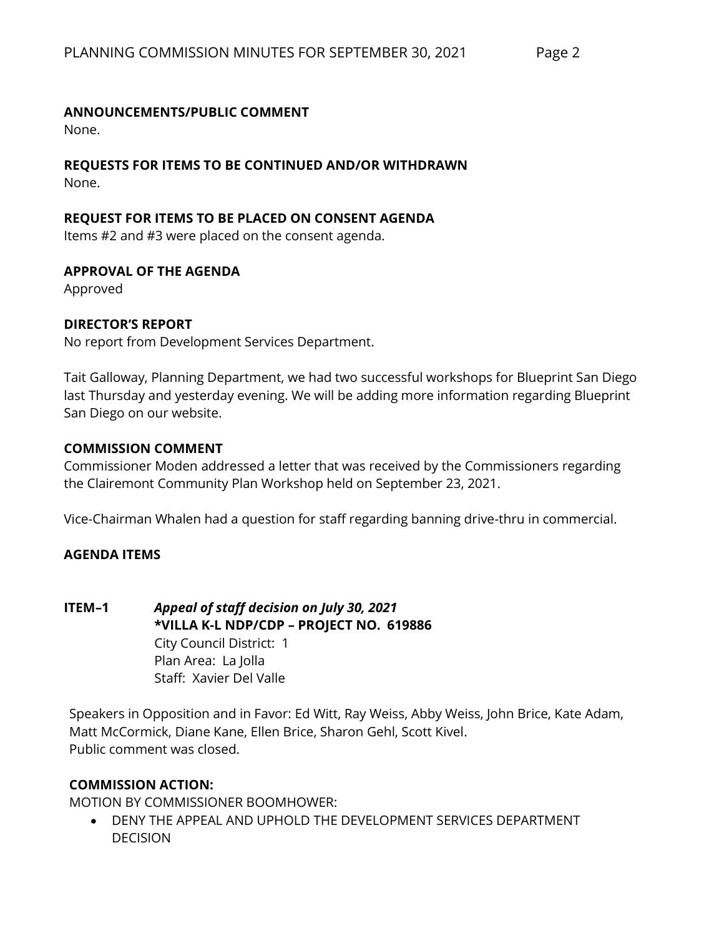### **ANNOUNCEMENTS/PUBLIC COMMENT**

None.

#### **REQUESTS FOR ITEMS TO BE CONTINUED AND/OR WITHDRAWN** None.

### **REQUEST FOR ITEMS TO BE PLACED ON CONSENT AGENDA**

Items #2 and #3 were placed on the consent agenda.

#### **APPROVAL OF THE AGENDA**

Approved

### **DIRECTOR'S REPORT**

No report from Development Services Department.

Tait Galloway, Planning Department, we had two successful workshops for Blueprint San Diego last Thursday and yesterday evening. We will be adding more information regarding Blueprint San Diego on our website.

#### **COMMISSION COMMENT**

Commissioner Moden addressed a letter that was received by the Commissioners regarding the Clairemont Community Plan Workshop held on September 23, 2021.

Vice-Chairman Whalen had a question for staff regarding banning drive-thru in commercial.

### **AGENDA ITEMS**

**ITEM–1** *Appeal of staff decision on July 30, 2021* **\*VILLA K-L NDP/CDP – PROJECT NO. 619886** City Council District: 1 Plan Area: La Jolla Staff: Xavier Del Valle

Speakers in Opposition and in Favor: Ed Witt, Ray Weiss, Abby Weiss, John Brice, Kate Adam, Matt McCormick, Diane Kane, Ellen Brice, Sharon Gehl, Scott Kivel. Public comment was closed.

#### **COMMISSION ACTION:**

MOTION BY COMMISSIONER BOOMHOWER:

• DENY THE APPEAL AND UPHOLD THE DEVELOPMENT SERVICES DEPARTMENT DECISION